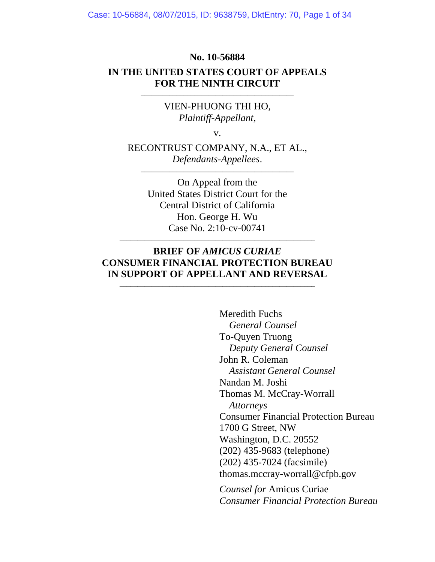### **No. 10-56884**

## **IN THE UNITED STATES COURT OF APPEALS FOR THE NINTH CIRCUIT**

\_\_\_\_\_\_\_\_\_\_\_\_\_\_\_\_\_\_\_\_\_\_\_\_\_\_\_\_\_\_\_\_\_\_\_\_\_\_\_\_\_\_\_

VIEN-PHUONG THI HO, *Plaintiff-Appellant*,

v.

RECONTRUST COMPANY, N.A., ET AL., *Defendants-Appellees*.

\_\_\_\_\_\_\_\_\_\_\_\_\_\_\_\_\_\_\_\_\_\_\_\_\_\_\_\_\_\_\_\_\_\_\_\_\_\_\_\_\_\_\_

On Appeal from the United States District Court for the Central District of California Hon. George H. Wu Case No. 2:10-cv-00741

## **BRIEF OF** *AMICUS CURIAE* **CONSUMER FINANCIAL PROTECTION BUREAU IN SUPPORT OF APPELLANT AND REVERSAL**

\_\_\_\_\_\_\_\_\_\_\_\_\_\_\_\_\_\_\_\_\_\_\_\_\_\_\_\_\_\_\_\_\_\_\_\_\_\_\_\_\_\_\_\_\_\_\_\_\_\_\_\_\_\_\_

\_\_\_\_\_\_\_\_\_\_\_\_\_\_\_\_\_\_\_\_\_\_\_\_\_\_\_\_\_\_\_\_\_\_\_\_\_\_\_\_\_\_\_\_\_\_\_\_\_\_\_\_\_\_\_

Meredith Fuchs *General Counsel* To-Quyen Truong *Deputy General Counsel*  John R. Coleman *Assistant General Counsel* Nandan M. Joshi Thomas M. McCray-Worrall *Attorneys* Consumer Financial Protection Bureau 1700 G Street, NW Washington, D.C. 20552 (202) 435-9683 (telephone) (202) 435-7024 (facsimile) thomas.mccray-worrall@cfpb.gov

*Counsel for* Amicus Curiae *Consumer Financial Protection Bureau*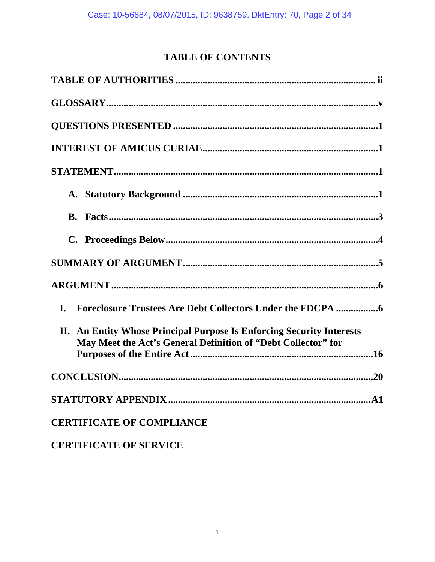# **TABLE OF CONTENTS**

| I.                                                                                                                                     |
|----------------------------------------------------------------------------------------------------------------------------------------|
| II. An Entity Whose Principal Purpose Is Enforcing Security Interests<br>May Meet the Act's General Definition of "Debt Collector" for |
|                                                                                                                                        |
|                                                                                                                                        |
| <b>CERTIFICATE OF COMPLIANCE</b>                                                                                                       |
| <b>CERTIFICATE OF SERVICE</b>                                                                                                          |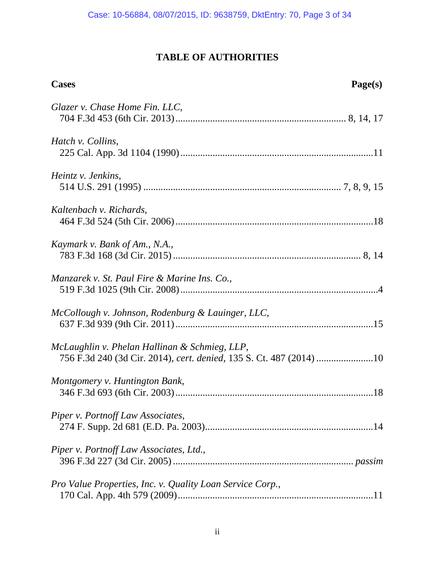# **TABLE OF AUTHORITIES**

<span id="page-2-0"></span>

| <b>Cases</b>                                                                                                         | Page(s) |
|----------------------------------------------------------------------------------------------------------------------|---------|
| Glazer v. Chase Home Fin. LLC,                                                                                       |         |
| Hatch v. Collins,                                                                                                    |         |
| Heintz v. Jenkins,                                                                                                   |         |
| Kaltenbach v. Richards,                                                                                              |         |
| Kaymark v. Bank of Am., N.A.,                                                                                        |         |
| Manzarek v. St. Paul Fire & Marine Ins. Co.,                                                                         |         |
| McCollough v. Johnson, Rodenburg & Lauinger, LLC,                                                                    |         |
| McLaughlin v. Phelan Hallinan & Schmieg, LLP,<br>756 F.3d 240 (3d Cir. 2014), cert. denied, 135 S. Ct. 487 (2014) 10 |         |
| Montgomery v. Huntington Bank,                                                                                       |         |
| Piper v. Portnoff Law Associates,                                                                                    |         |
| Piper v. Portnoff Law Associates, Ltd.,                                                                              |         |
| Pro Value Properties, Inc. v. Quality Loan Service Corp.,                                                            |         |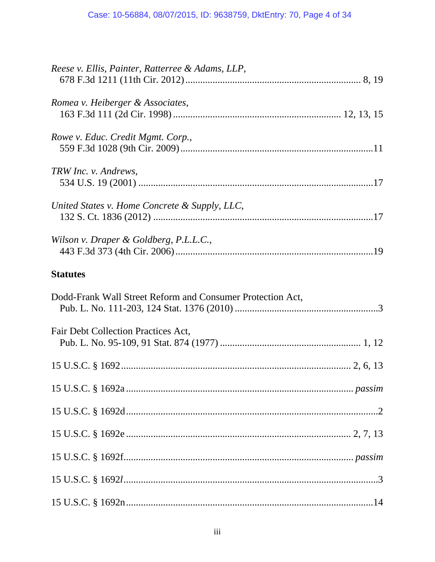| Reese v. Ellis, Painter, Ratterree & Adams, LLP,           |
|------------------------------------------------------------|
| Romea v. Heiberger & Associates,                           |
| Rowe v. Educ. Credit Mgmt. Corp.,                          |
| TRW Inc. v. Andrews,                                       |
| United States v. Home Concrete & Supply, LLC,              |
| Wilson v. Draper & Goldberg, P.L.L.C.,                     |
| <b>Statutes</b>                                            |
| Dodd-Frank Wall Street Reform and Consumer Protection Act, |
| Fair Debt Collection Practices Act,                        |
|                                                            |
|                                                            |
|                                                            |
|                                                            |
|                                                            |
|                                                            |
|                                                            |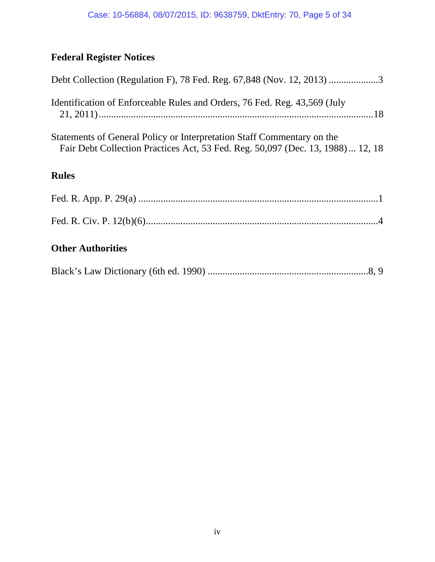# Case: 10-56884, 08/07/2015, ID: 9638759, DktEntry: 70, Page 5 of 34

# **Federal Register Notices**

| Identification of Enforceable Rules and Orders, 76 Fed. Reg. 43,569 (July                                                                                 |  |
|-----------------------------------------------------------------------------------------------------------------------------------------------------------|--|
| Statements of General Policy or Interpretation Staff Commentary on the<br>Fair Debt Collection Practices Act, 53 Fed. Reg. 50,097 (Dec. 13, 1988)  12, 18 |  |

# **Rules**

# **Other Authorities**

|--|--|--|--|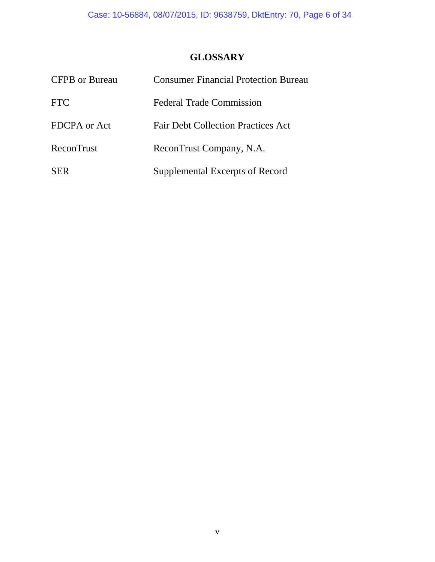# **GLOSSARY**

<span id="page-5-0"></span>

| <b>CFPB</b> or Bureau | <b>Consumer Financial Protection Bureau</b> |
|-----------------------|---------------------------------------------|
| <b>FTC</b>            | <b>Federal Trade Commission</b>             |
| FDCPA or Act          | <b>Fair Debt Collection Practices Act</b>   |
| ReconTrust            | ReconTrust Company, N.A.                    |
| <b>SER</b>            | Supplemental Excerpts of Record             |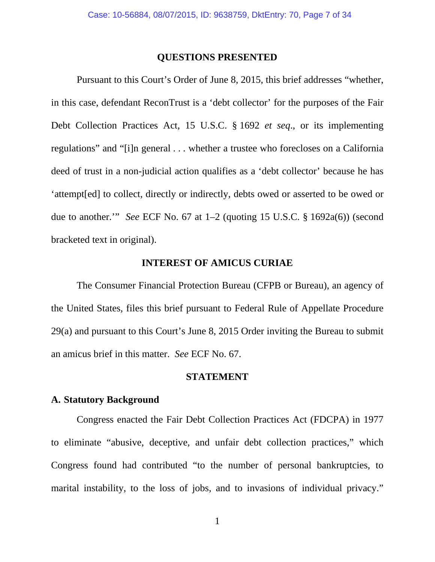#### **QUESTIONS PRESENTED**

<span id="page-6-0"></span>Pursuant to this Court's Order of June 8, 2015, this brief addresses "whether, in this case, defendant ReconTrust is a 'debt collector' for the purposes of the Fair Debt Collection Practices Act, 15 U.S.C. § 1692 *et seq*., or its implementing regulations" and "[i]n general . . . whether a trustee who forecloses on a California deed of trust in a non-judicial action qualifies as a 'debt collector' because he has 'attempt[ed] to collect, directly or indirectly, debts owed or asserted to be owed or due to another.'" *See* ECF No. 67 at 1–2 (quoting 15 U.S.C. § 1692a(6)) (second bracketed text in original).

### **INTEREST OF AMICUS CURIAE**

<span id="page-6-1"></span>The Consumer Financial Protection Bureau (CFPB or Bureau), an agency of the United States, files this brief pursuant to Federal Rule of Appellate Procedure 29(a) and pursuant to this Court's June 8, 2015 Order inviting the Bureau to submit an amicus brief in this matter. *See* ECF No. 67.

### **STATEMENT**

### <span id="page-6-3"></span><span id="page-6-2"></span>**A. Statutory Background**

Congress enacted the Fair Debt Collection Practices Act (FDCPA) in 1977 to eliminate "abusive, deceptive, and unfair debt collection practices," which Congress found had contributed "to the number of personal bankruptcies, to marital instability, to the loss of jobs, and to invasions of individual privacy."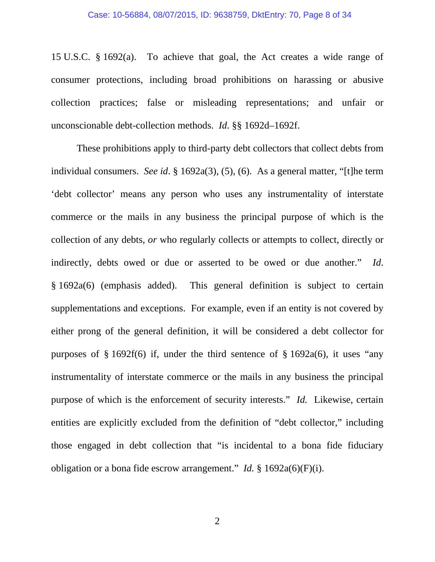#### Case: 10-56884, 08/07/2015, ID: 9638759, DktEntry: 70, Page 8 of 34

15 U.S.C. § 1692(a). To achieve that goal, the Act creates a wide range of consumer protections, including broad prohibitions on harassing or abusive collection practices; false or misleading representations; and unfair or unconscionable debt-collection methods. *Id*. §§ 1692d–1692f.

These prohibitions apply to third-party debt collectors that collect debts from individual consumers. *See id*. § 1692a(3), (5), (6). As a general matter, "[t]he term 'debt collector' means any person who uses any instrumentality of interstate commerce or the mails in any business the principal purpose of which is the collection of any debts, *or* who regularly collects or attempts to collect, directly or indirectly, debts owed or due or asserted to be owed or due another." *Id*. § 1692a(6) (emphasis added). This general definition is subject to certain supplementations and exceptions. For example, even if an entity is not covered by either prong of the general definition, it will be considered a debt collector for purposes of § 1692f(6) if, under the third sentence of § 1692a(6), it uses "any instrumentality of interstate commerce or the mails in any business the principal purpose of which is the enforcement of security interests." *Id.* Likewise, certain entities are explicitly excluded from the definition of "debt collector," including those engaged in debt collection that "is incidental to a bona fide fiduciary obligation or a bona fide escrow arrangement." *Id.* § 1692a(6)(F)(i).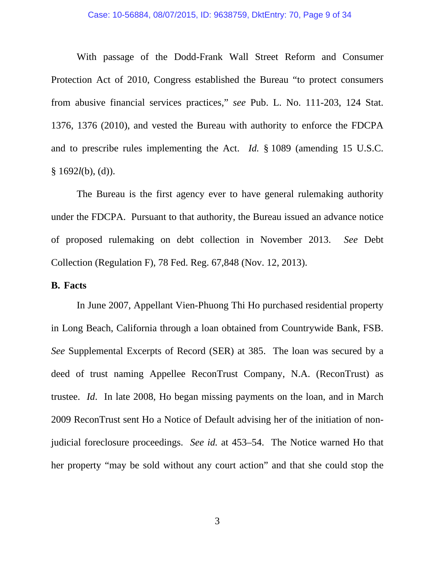With passage of the Dodd-Frank Wall Street Reform and Consumer Protection Act of 2010, Congress established the Bureau "to protect consumers from abusive financial services practices," *see* Pub. L. No. 111-203, 124 Stat. 1376, 1376 (2010), and vested the Bureau with authority to enforce the FDCPA and to prescribe rules implementing the Act. *Id.* § 1089 (amending 15 U.S.C.  $§ 1692l(b), (d)).$ 

The Bureau is the first agency ever to have general rulemaking authority under the FDCPA. Pursuant to that authority, the Bureau issued an advance notice of proposed rulemaking on debt collection in November 2013. *See* Debt Collection (Regulation F), 78 Fed. Reg. 67,848 (Nov. 12, 2013).

### <span id="page-8-0"></span>**B. Facts**

In June 2007, Appellant Vien-Phuong Thi Ho purchased residential property in Long Beach, California through a loan obtained from Countrywide Bank, FSB. *See* Supplemental Excerpts of Record (SER) at 385. The loan was secured by a deed of trust naming Appellee ReconTrust Company, N.A. (ReconTrust) as trustee. *Id*. In late 2008, Ho began missing payments on the loan, and in March 2009 ReconTrust sent Ho a Notice of Default advising her of the initiation of nonjudicial foreclosure proceedings. *See id.* at 453–54. The Notice warned Ho that her property "may be sold without any court action" and that she could stop the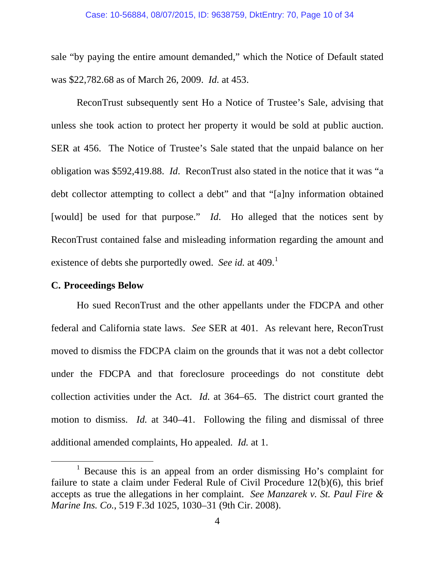sale "by paying the entire amount demanded," which the Notice of Default stated was \$22,782.68 as of March 26, 2009. *Id.* at 453.

ReconTrust subsequently sent Ho a Notice of Trustee's Sale, advising that unless she took action to protect her property it would be sold at public auction. SER at 456. The Notice of Trustee's Sale stated that the unpaid balance on her obligation was \$592,419.88. *Id*. ReconTrust also stated in the notice that it was "a debt collector attempting to collect a debt" and that "[a]ny information obtained [would] be used for that purpose." *Id*. Ho alleged that the notices sent by ReconTrust contained false and misleading information regarding the amount and existence of debts she purportedly owed. *See id.* at 409.<sup>[1](#page-9-1)</sup>

### <span id="page-9-0"></span>**C. Proceedings Below**

Ho sued ReconTrust and the other appellants under the FDCPA and other federal and California state laws. *See* SER at 401. As relevant here, ReconTrust moved to dismiss the FDCPA claim on the grounds that it was not a debt collector under the FDCPA and that foreclosure proceedings do not constitute debt collection activities under the Act. *Id.* at 364–65. The district court granted the motion to dismiss. *Id.* at 340–41. Following the filing and dismissal of three additional amended complaints, Ho appealed. *Id.* at 1.

<span id="page-9-1"></span><sup>&</sup>lt;sup>1</sup> Because this is an appeal from an order dismissing Ho's complaint for failure to state a claim under Federal Rule of Civil Procedure 12(b)(6), this brief accepts as true the allegations in her complaint. *See Manzarek v. St. Paul Fire & Marine Ins. Co.*, 519 F.3d 1025, 1030–31 (9th Cir. 2008).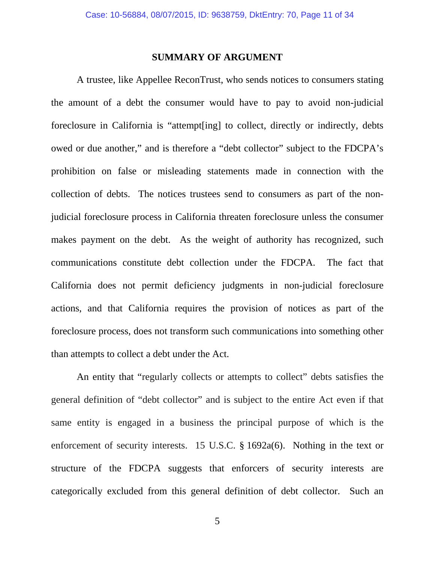### **SUMMARY OF ARGUMENT**

<span id="page-10-0"></span>A trustee, like Appellee ReconTrust, who sends notices to consumers stating the amount of a debt the consumer would have to pay to avoid non-judicial foreclosure in California is "attempt[ing] to collect, directly or indirectly, debts owed or due another," and is therefore a "debt collector" subject to the FDCPA's prohibition on false or misleading statements made in connection with the collection of debts. The notices trustees send to consumers as part of the nonjudicial foreclosure process in California threaten foreclosure unless the consumer makes payment on the debt. As the weight of authority has recognized, such communications constitute debt collection under the FDCPA. The fact that California does not permit deficiency judgments in non-judicial foreclosure actions, and that California requires the provision of notices as part of the foreclosure process, does not transform such communications into something other than attempts to collect a debt under the Act.

An entity that "regularly collects or attempts to collect" debts satisfies the general definition of "debt collector" and is subject to the entire Act even if that same entity is engaged in a business the principal purpose of which is the enforcement of security interests. 15 U.S.C. § 1692a(6). Nothing in the text or structure of the FDCPA suggests that enforcers of security interests are categorically excluded from this general definition of debt collector. Such an

5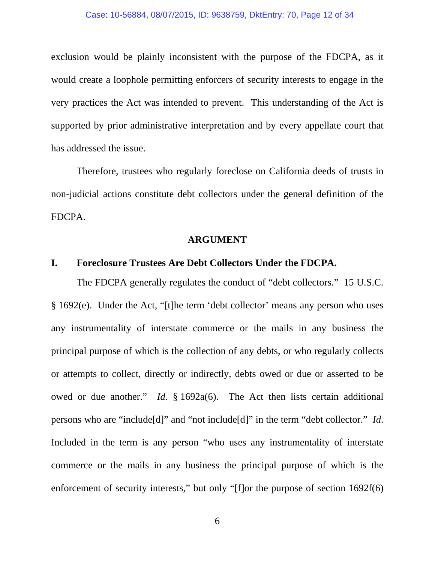exclusion would be plainly inconsistent with the purpose of the FDCPA, as it would create a loophole permitting enforcers of security interests to engage in the very practices the Act was intended to prevent. This understanding of the Act is supported by prior administrative interpretation and by every appellate court that has addressed the issue.

Therefore, trustees who regularly foreclose on California deeds of trusts in non-judicial actions constitute debt collectors under the general definition of the FDCPA.

### **ARGUMENT**

### <span id="page-11-1"></span><span id="page-11-0"></span>**I. Foreclosure Trustees Are Debt Collectors Under the FDCPA.**

The FDCPA generally regulates the conduct of "debt collectors." 15 U.S.C. § 1692(e). Under the Act, "[t]he term 'debt collector' means any person who uses any instrumentality of interstate commerce or the mails in any business the principal purpose of which is the collection of any debts, or who regularly collects or attempts to collect, directly or indirectly, debts owed or due or asserted to be owed or due another." *Id*. § 1692a(6). The Act then lists certain additional persons who are "include[d]" and "not include[d]" in the term "debt collector." *Id*. Included in the term is any person "who uses any instrumentality of interstate commerce or the mails in any business the principal purpose of which is the enforcement of security interests," but only "[f]or the purpose of section 1692f(6)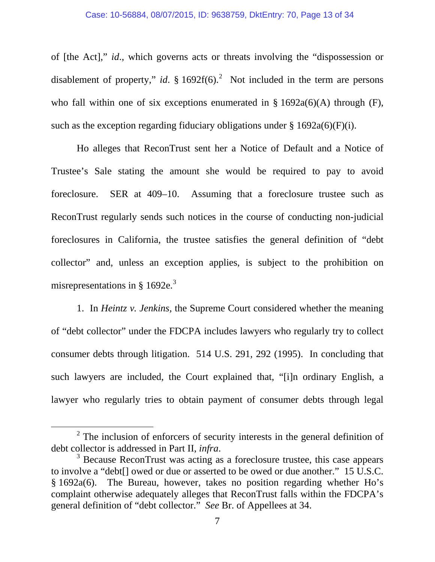of [the Act]," *id*., which governs acts or threats involving the "dispossession or disablement of property," *id.*  $\S 1692f(6)$  $\S 1692f(6)$  $\S 1692f(6)$ .<sup>2</sup> Not included in the term are persons who fall within one of six exceptions enumerated in  $\S$  1692a(6)(A) through (F), such as the exception regarding fiduciary obligations under  $\S$  1692a(6)(F)(i).

Ho alleges that ReconTrust sent her a Notice of Default and a Notice of Trustee's Sale stating the amount she would be required to pay to avoid foreclosure. SER at 409–10. Assuming that a foreclosure trustee such as ReconTrust regularly sends such notices in the course of conducting non-judicial foreclosures in California, the trustee satisfies the general definition of "debt collector" and, unless an exception applies, is subject to the prohibition on misrepresentations in § 1692e.<sup>[3](#page-12-1)</sup>

1. In *Heintz v. Jenkins*, the Supreme Court considered whether the meaning of "debt collector" under the FDCPA includes lawyers who regularly try to collect consumer debts through litigation. 514 U.S. 291, 292 (1995). In concluding that such lawyers are included, the Court explained that, "[i]n ordinary English, a lawyer who regularly tries to obtain payment of consumer debts through legal

<span id="page-12-0"></span> $2^2$  The inclusion of enforcers of security interests in the general definition of debt collector is addressed in Part II, *infra*.

<span id="page-12-1"></span><sup>&</sup>lt;sup>3</sup> Because ReconTrust was acting as a foreclosure trustee, this case appears to involve a "debt[] owed or due or asserted to be owed or due another." 15 U.S.C. § 1692a(6). The Bureau, however, takes no position regarding whether Ho's complaint otherwise adequately alleges that ReconTrust falls within the FDCPA's general definition of "debt collector." *See* Br. of Appellees at 34.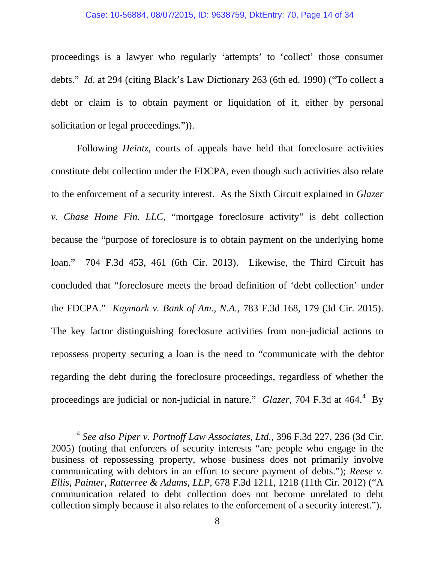#### Case: 10-56884, 08/07/2015, ID: 9638759, DktEntry: 70, Page 14 of 34

proceedings is a lawyer who regularly 'attempts' to 'collect' those consumer debts." *Id*. at 294 (citing Black's Law Dictionary 263 (6th ed. 1990) ("To collect a debt or claim is to obtain payment or liquidation of it, either by personal solicitation or legal proceedings.")).

Following *Heintz*, courts of appeals have held that foreclosure activities constitute debt collection under the FDCPA, even though such activities also relate to the enforcement of a security interest. As the Sixth Circuit explained in *Glazer v. Chase Home Fin. LLC*, "mortgage foreclosure activity" is debt collection because the "purpose of foreclosure is to obtain payment on the underlying home loan." 704 F.3d 453, 461 (6th Cir. 2013). Likewise, the Third Circuit has concluded that "foreclosure meets the broad definition of 'debt collection' under the FDCPA." *Kaymark v. Bank of Am., N.A.*, 783 F.3d 168, 179 (3d Cir. 2015). The key factor distinguishing foreclosure activities from non-judicial actions to repossess property securing a loan is the need to "communicate with the debtor regarding the debt during the foreclosure proceedings, regardless of whether the proceedings are judicial or non-judicial in nature." *Glazer*, 704 F.3d at 464. [4](#page-13-0) By

<span id="page-13-0"></span> <sup>4</sup> *See also Piper v. Portnoff Law Associates, Ltd.*, 396 F.3d 227, 236 (3d Cir. 2005) (noting that enforcers of security interests "are people who engage in the business of repossessing property, whose business does not primarily involve communicating with debtors in an effort to secure payment of debts."); *Reese v. Ellis, Painter, Ratterree & Adams, LLP*, 678 F.3d 1211, 1218 (11th Cir. 2012) ("A communication related to debt collection does not become unrelated to debt collection simply because it also relates to the enforcement of a security interest.").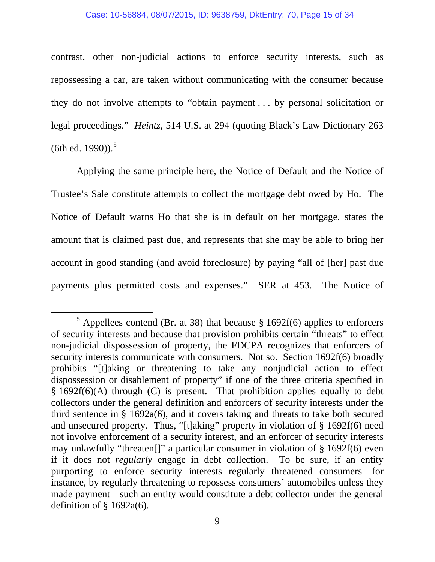#### Case: 10-56884, 08/07/2015, ID: 9638759, DktEntry: 70, Page 15 of 34

contrast, other non-judicial actions to enforce security interests, such as repossessing a car, are taken without communicating with the consumer because they do not involve attempts to "obtain payment . . . by personal solicitation or legal proceedings." *Heintz*, 514 U.S. at 294 (quoting Black's Law Dictionary 263 (6th ed. 1990)).<sup>[5](#page-14-0)</sup>

Applying the same principle here, the Notice of Default and the Notice of Trustee's Sale constitute attempts to collect the mortgage debt owed by Ho. The Notice of Default warns Ho that she is in default on her mortgage, states the amount that is claimed past due, and represents that she may be able to bring her account in good standing (and avoid foreclosure) by paying "all of [her] past due payments plus permitted costs and expenses." SER at 453. The Notice of

<span id="page-14-0"></span> $<sup>5</sup>$  Appellees contend (Br. at 38) that because § 1692f(6) applies to enforcers</sup> of security interests and because that provision prohibits certain "threats" to effect non-judicial dispossession of property, the FDCPA recognizes that enforcers of security interests communicate with consumers. Not so. Section 1692f(6) broadly prohibits "[t]aking or threatening to take any nonjudicial action to effect dispossession or disablement of property" if one of the three criteria specified in § 1692f(6)(A) through (C) is present. That prohibition applies equally to debt collectors under the general definition and enforcers of security interests under the third sentence in § 1692a(6), and it covers taking and threats to take both secured and unsecured property. Thus, "[t]aking" property in violation of § 1692f(6) need not involve enforcement of a security interest, and an enforcer of security interests may unlawfully "threaten[]" a particular consumer in violation of § 1692f(6) even if it does not *regularly* engage in debt collection. To be sure, if an entity purporting to enforce security interests regularly threatened consumers—for instance, by regularly threatening to repossess consumers' automobiles unless they made payment—such an entity would constitute a debt collector under the general definition of  $§$  1692a(6).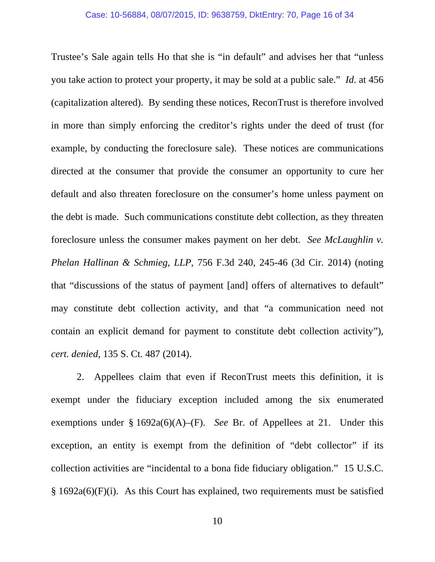Trustee's Sale again tells Ho that she is "in default" and advises her that "unless you take action to protect your property, it may be sold at a public sale." *Id*. at 456 (capitalization altered). By sending these notices, ReconTrust is therefore involved in more than simply enforcing the creditor's rights under the deed of trust (for example, by conducting the foreclosure sale). These notices are communications directed at the consumer that provide the consumer an opportunity to cure her default and also threaten foreclosure on the consumer's home unless payment on the debt is made. Such communications constitute debt collection, as they threaten foreclosure unless the consumer makes payment on her debt. *See McLaughlin v. Phelan Hallinan & Schmieg, LLP*, 756 F.3d 240, 245-46 (3d Cir. 2014) (noting that "discussions of the status of payment [and] offers of alternatives to default" may constitute debt collection activity, and that "a communication need not contain an explicit demand for payment to constitute debt collection activity"), *cert. denied*, 135 S. Ct. 487 (2014).

2. Appellees claim that even if ReconTrust meets this definition, it is exempt under the fiduciary exception included among the six enumerated exemptions under § 1692a(6)(A)–(F). *See* Br. of Appellees at 21. Under this exception, an entity is exempt from the definition of "debt collector" if its collection activities are "incidental to a bona fide fiduciary obligation." 15 U.S.C. § 1692a(6)(F)(i). As this Court has explained, two requirements must be satisfied

10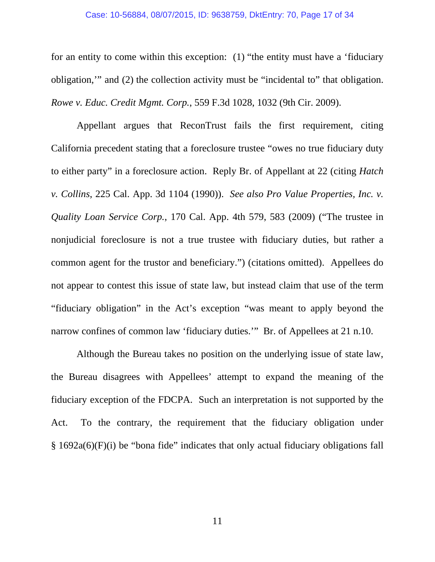#### Case: 10-56884, 08/07/2015, ID: 9638759, DktEntry: 70, Page 17 of 34

for an entity to come within this exception: (1) "the entity must have a 'fiduciary obligation,'" and (2) the collection activity must be "incidental to" that obligation. *Rowe v. Educ. Credit Mgmt. Corp.*, 559 F.3d 1028, 1032 (9th Cir. 2009).

Appellant argues that ReconTrust fails the first requirement, citing California precedent stating that a foreclosure trustee "owes no true fiduciary duty to either party" in a foreclosure action. Reply Br. of Appellant at 22 (citing *Hatch v. Collins*, 225 Cal. App. 3d 1104 (1990)). *See also Pro Value Properties, Inc. v. Quality Loan Service Corp.*, 170 Cal. App. 4th 579, 583 (2009) ("The trustee in nonjudicial foreclosure is not a true trustee with fiduciary duties, but rather a common agent for the trustor and beneficiary.") (citations omitted). Appellees do not appear to contest this issue of state law, but instead claim that use of the term "fiduciary obligation" in the Act's exception "was meant to apply beyond the narrow confines of common law 'fiduciary duties.'" Br. of Appellees at 21 n.10.

Although the Bureau takes no position on the underlying issue of state law, the Bureau disagrees with Appellees' attempt to expand the meaning of the fiduciary exception of the FDCPA. Such an interpretation is not supported by the Act. To the contrary, the requirement that the fiduciary obligation under § 1692a(6)(F)(i) be "bona fide" indicates that only actual fiduciary obligations fall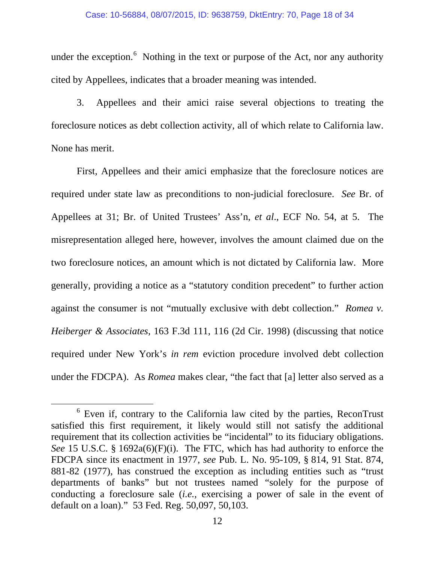#### Case: 10-56884, 08/07/2015, ID: 9638759, DktEntry: 70, Page 18 of 34

under the exception.<sup>[6](#page-17-0)</sup> Nothing in the text or purpose of the Act, nor any authority cited by Appellees, indicates that a broader meaning was intended.

3. Appellees and their amici raise several objections to treating the foreclosure notices as debt collection activity, all of which relate to California law. None has merit.

First, Appellees and their amici emphasize that the foreclosure notices are required under state law as preconditions to non-judicial foreclosure. *See* Br. of Appellees at 31; Br. of United Trustees' Ass'n, *et al*., ECF No. 54, at 5. The misrepresentation alleged here, however, involves the amount claimed due on the two foreclosure notices, an amount which is not dictated by California law. More generally, providing a notice as a "statutory condition precedent" to further action against the consumer is not "mutually exclusive with debt collection." *Romea v. Heiberger & Associates*, 163 F.3d 111, 116 (2d Cir. 1998) (discussing that notice required under New York's *in rem* eviction procedure involved debt collection under the FDCPA). As *Romea* makes clear, "the fact that [a] letter also served as a

<span id="page-17-0"></span><sup>&</sup>lt;sup>6</sup> Even if, contrary to the California law cited by the parties, ReconTrust satisfied this first requirement, it likely would still not satisfy the additional requirement that its collection activities be "incidental" to its fiduciary obligations. *See* 15 U.S.C. § 1692a(6)(F)(i). The FTC, which has had authority to enforce the FDCPA since its enactment in 1977, *see* Pub. L. No. 95-109, § 814, 91 Stat. 874, 881-82 (1977), has construed the exception as including entities such as "trust departments of banks" but not trustees named "solely for the purpose of conducting a foreclosure sale (*i.e.*, exercising a power of sale in the event of default on a loan)." 53 Fed. Reg. 50,097, 50,103.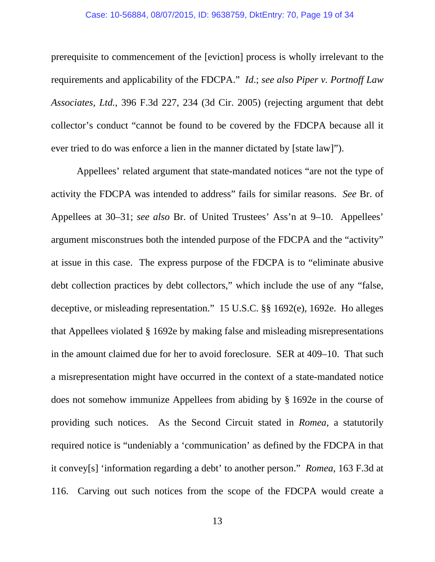#### Case: 10-56884, 08/07/2015, ID: 9638759, DktEntry: 70, Page 19 of 34

prerequisite to commencement of the [eviction] process is wholly irrelevant to the requirements and applicability of the FDCPA." *Id*.; *see also Piper v. Portnoff Law Associates, Ltd.*, 396 F.3d 227, 234 (3d Cir. 2005) (rejecting argument that debt collector's conduct "cannot be found to be covered by the FDCPA because all it ever tried to do was enforce a lien in the manner dictated by [state law]").

Appellees' related argument that state-mandated notices "are not the type of activity the FDCPA was intended to address" fails for similar reasons. *See* Br. of Appellees at 30–31; *see also* Br. of United Trustees' Ass'n at 9–10. Appellees' argument misconstrues both the intended purpose of the FDCPA and the "activity" at issue in this case. The express purpose of the FDCPA is to "eliminate abusive debt collection practices by debt collectors," which include the use of any "false, deceptive, or misleading representation." 15 U.S.C. §§ 1692(e), 1692e. Ho alleges that Appellees violated § 1692e by making false and misleading misrepresentations in the amount claimed due for her to avoid foreclosure. SER at 409–10. That such a misrepresentation might have occurred in the context of a state-mandated notice does not somehow immunize Appellees from abiding by § 1692e in the course of providing such notices. As the Second Circuit stated in *Romea*, a statutorily required notice is "undeniably a 'communication' as defined by the FDCPA in that it convey[s] 'information regarding a debt' to another person." *Romea*, 163 F.3d at 116. Carving out such notices from the scope of the FDCPA would create a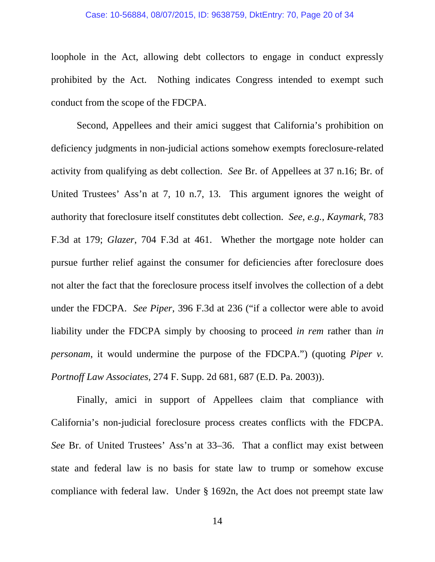#### Case: 10-56884, 08/07/2015, ID: 9638759, DktEntry: 70, Page 20 of 34

loophole in the Act, allowing debt collectors to engage in conduct expressly prohibited by the Act. Nothing indicates Congress intended to exempt such conduct from the scope of the FDCPA.

Second, Appellees and their amici suggest that California's prohibition on deficiency judgments in non-judicial actions somehow exempts foreclosure-related activity from qualifying as debt collection. *See* Br. of Appellees at 37 n.16; Br. of United Trustees' Ass'n at 7, 10 n.7, 13. This argument ignores the weight of authority that foreclosure itself constitutes debt collection. *See, e.g.*, *Kaymark*, 783 F.3d at 179; *Glazer*, 704 F.3d at 461. Whether the mortgage note holder can pursue further relief against the consumer for deficiencies after foreclosure does not alter the fact that the foreclosure process itself involves the collection of a debt under the FDCPA. *See Piper*, 396 F.3d at 236 ("if a collector were able to avoid liability under the FDCPA simply by choosing to proceed *in rem* rather than *in personam*, it would undermine the purpose of the FDCPA.") (quoting *Piper v. Portnoff Law Associates*, 274 F. Supp. 2d 681, 687 (E.D. Pa. 2003)).

Finally, amici in support of Appellees claim that compliance with California's non-judicial foreclosure process creates conflicts with the FDCPA. *See* Br. of United Trustees' Ass'n at 33–36. That a conflict may exist between state and federal law is no basis for state law to trump or somehow excuse compliance with federal law. Under § 1692n, the Act does not preempt state law

14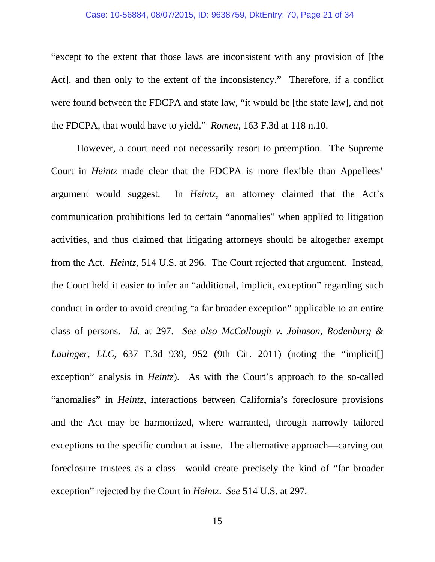#### Case: 10-56884, 08/07/2015, ID: 9638759, DktEntry: 70, Page 21 of 34

"except to the extent that those laws are inconsistent with any provision of [the Act], and then only to the extent of the inconsistency." Therefore, if a conflict were found between the FDCPA and state law, "it would be [the state law], and not the FDCPA, that would have to yield." *Romea*, 163 F.3d at 118 n.10.

However, a court need not necessarily resort to preemption. The Supreme Court in *Heintz* made clear that the FDCPA is more flexible than Appellees' argument would suggest. In *Heintz*, an attorney claimed that the Act's communication prohibitions led to certain "anomalies" when applied to litigation activities, and thus claimed that litigating attorneys should be altogether exempt from the Act. *Heintz*, 514 U.S. at 296. The Court rejected that argument. Instead, the Court held it easier to infer an "additional, implicit, exception" regarding such conduct in order to avoid creating "a far broader exception" applicable to an entire class of persons. *Id.* at 297. *See also McCollough v. Johnson, Rodenburg & Lauinger, LLC*, 637 F.3d 939, 952 (9th Cir. 2011) (noting the "implicit[] exception" analysis in *Heintz*). As with the Court's approach to the so-called "anomalies" in *Heintz*, interactions between California's foreclosure provisions and the Act may be harmonized, where warranted, through narrowly tailored exceptions to the specific conduct at issue. The alternative approach—carving out foreclosure trustees as a class—would create precisely the kind of "far broader exception" rejected by the Court in *Heintz*. *See* 514 U.S. at 297*.*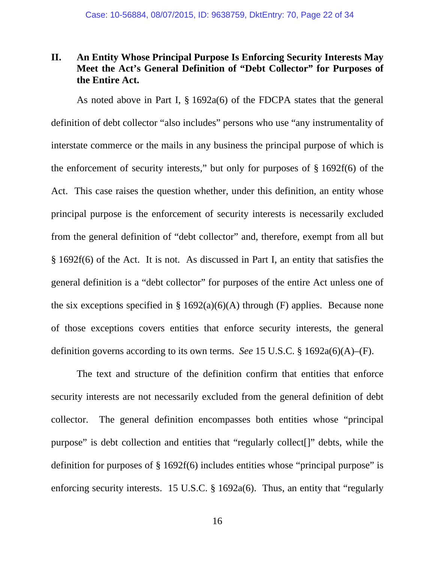## <span id="page-21-0"></span>**II. An Entity Whose Principal Purpose Is Enforcing Security Interests May Meet the Act's General Definition of "Debt Collector" for Purposes of the Entire Act.**

As noted above in Part I, § 1692a(6) of the FDCPA states that the general definition of debt collector "also includes" persons who use "any instrumentality of interstate commerce or the mails in any business the principal purpose of which is the enforcement of security interests," but only for purposes of § 1692f(6) of the Act. This case raises the question whether, under this definition, an entity whose principal purpose is the enforcement of security interests is necessarily excluded from the general definition of "debt collector" and, therefore, exempt from all but § 1692f(6) of the Act. It is not. As discussed in Part I, an entity that satisfies the general definition is a "debt collector" for purposes of the entire Act unless one of the six exceptions specified in §  $1692(a)(6)(A)$  through (F) applies. Because none of those exceptions covers entities that enforce security interests, the general definition governs according to its own terms. *See* 15 U.S.C. § 1692a(6)(A)–(F).

The text and structure of the definition confirm that entities that enforce security interests are not necessarily excluded from the general definition of debt collector. The general definition encompasses both entities whose "principal purpose" is debt collection and entities that "regularly collect[]" debts, while the definition for purposes of § 1692f(6) includes entities whose "principal purpose" is enforcing security interests. 15 U.S.C. § 1692a(6). Thus, an entity that "regularly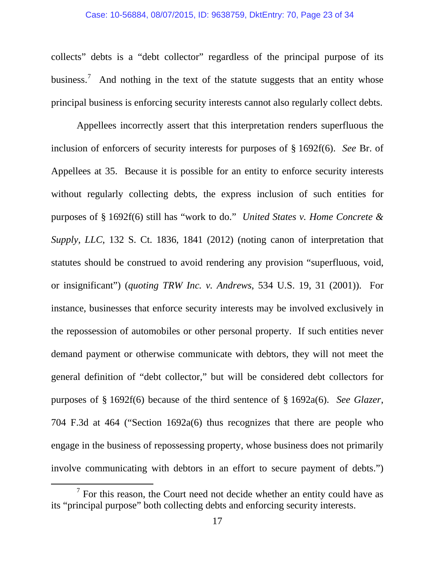#### Case: 10-56884, 08/07/2015, ID: 9638759, DktEntry: 70, Page 23 of 34

collects" debts is a "debt collector" regardless of the principal purpose of its business.<sup>[7](#page-22-0)</sup> And nothing in the text of the statute suggests that an entity whose principal business is enforcing security interests cannot also regularly collect debts.

Appellees incorrectly assert that this interpretation renders superfluous the inclusion of enforcers of security interests for purposes of § 1692f(6). *See* Br. of Appellees at 35. Because it is possible for an entity to enforce security interests without regularly collecting debts, the express inclusion of such entities for purposes of § 1692f(6) still has "work to do." *United States v. Home Concrete & Supply, LLC*, 132 S. Ct. 1836, 1841 (2012) (noting canon of interpretation that statutes should be construed to avoid rendering any provision "superfluous, void, or insignificant") (*quoting TRW Inc. v. Andrews*, 534 U.S. 19, 31 (2001)). For instance, businesses that enforce security interests may be involved exclusively in the repossession of automobiles or other personal property. If such entities never demand payment or otherwise communicate with debtors, they will not meet the general definition of "debt collector," but will be considered debt collectors for purposes of § 1692f(6) because of the third sentence of § 1692a(6). *See Glazer*, 704 F.3d at 464 ("Section 1692a(6) thus recognizes that there are people who engage in the business of repossessing property, whose business does not primarily involve communicating with debtors in an effort to secure payment of debts.")

<span id="page-22-0"></span> $<sup>7</sup>$  For this reason, the Court need not decide whether an entity could have as</sup> its "principal purpose" both collecting debts and enforcing security interests.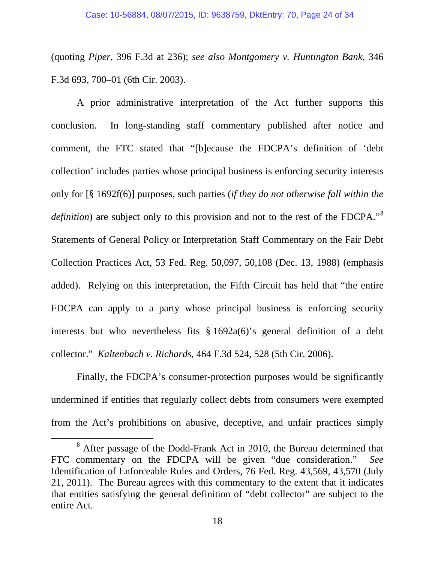(quoting *Piper*, 396 F.3d at 236); *see also Montgomery v. Huntington Bank*, 346 F.3d 693, 700–01 (6th Cir. 2003).

A prior administrative interpretation of the Act further supports this conclusion. In long-standing staff commentary published after notice and comment, the FTC stated that "[b]ecause the FDCPA's definition of 'debt collection' includes parties whose principal business is enforcing security interests only for [§ 1692f(6)] purposes, such parties (*if they do not otherwise fall within the definition*) are subject only to this provision and not to the rest of the FDCPA."[8](#page-23-0) Statements of General Policy or Interpretation Staff Commentary on the Fair Debt Collection Practices Act, 53 Fed. Reg. 50,097, 50,108 (Dec. 13, 1988) (emphasis added). Relying on this interpretation, the Fifth Circuit has held that "the entire FDCPA can apply to a party whose principal business is enforcing security interests but who nevertheless fits § 1692a(6)'s general definition of a debt collector." *Kaltenbach v. Richards*, 464 F.3d 524, 528 (5th Cir. 2006).

Finally, the FDCPA's consumer-protection purposes would be significantly undermined if entities that regularly collect debts from consumers were exempted from the Act's prohibitions on abusive, deceptive, and unfair practices simply

<span id="page-23-0"></span><sup>&</sup>lt;sup>8</sup> After passage of the Dodd-Frank Act in 2010, the Bureau determined that FTC commentary on the FDCPA will be given "due consideration." *See* Identification of Enforceable Rules and Orders, 76 Fed. Reg. 43,569, 43,570 (July 21, 2011). The Bureau agrees with this commentary to the extent that it indicates that entities satisfying the general definition of "debt collector" are subject to the entire Act.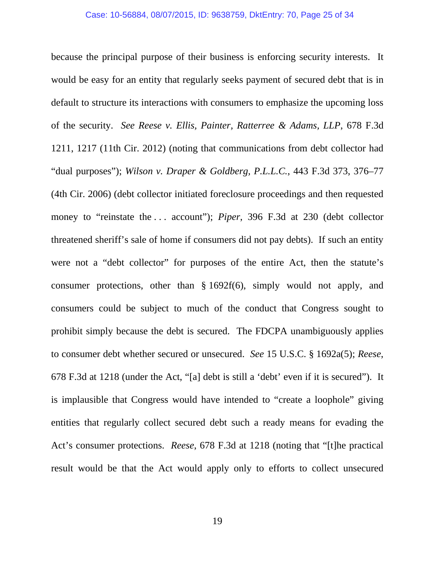because the principal purpose of their business is enforcing security interests. It would be easy for an entity that regularly seeks payment of secured debt that is in default to structure its interactions with consumers to emphasize the upcoming loss of the security. *See Reese v. Ellis, Painter, Ratterree & Adams, LLP*, 678 F.3d 1211, 1217 (11th Cir. 2012) (noting that communications from debt collector had "dual purposes"); *Wilson v. Draper & Goldberg, P.L.L.C.*, 443 F.3d 373, 376–77 (4th Cir. 2006) (debt collector initiated foreclosure proceedings and then requested money to "reinstate the . . . account"); *Piper*, 396 F.3d at 230 (debt collector threatened sheriff's sale of home if consumers did not pay debts). If such an entity were not a "debt collector" for purposes of the entire Act, then the statute's consumer protections, other than § 1692f(6), simply would not apply, and consumers could be subject to much of the conduct that Congress sought to prohibit simply because the debt is secured. The FDCPA unambiguously applies to consumer debt whether secured or unsecured. *See* 15 U.S.C. § 1692a(5); *Reese*, 678 F.3d at 1218 (under the Act, "[a] debt is still a 'debt' even if it is secured"). It is implausible that Congress would have intended to "create a loophole" giving entities that regularly collect secured debt such a ready means for evading the Act's consumer protections. *Reese*, 678 F.3d at 1218 (noting that "[t]he practical result would be that the Act would apply only to efforts to collect unsecured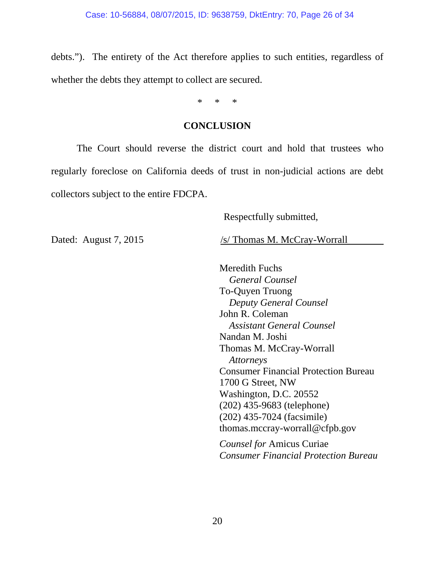debts."). The entirety of the Act therefore applies to such entities, regardless of whether the debts they attempt to collect are secured.

\* \* \*

### **CONCLUSION**

<span id="page-25-0"></span>The Court should reverse the district court and hold that trustees who regularly foreclose on California deeds of trust in non-judicial actions are debt collectors subject to the entire FDCPA.

Respectfully submitted,

Dated: August 7, 2015 /s/ Thomas M. McCray-Worrall

Meredith Fuchs *General Counsel* To-Quyen Truong *Deputy General Counsel*  John R. Coleman *Assistant General Counsel* Nandan M. Joshi Thomas M. McCray-Worrall *Attorneys* Consumer Financial Protection Bureau 1700 G Street, NW Washington, D.C. 20552 (202) 435-9683 (telephone) (202) 435-7024 (facsimile) thomas.mccray-worrall@cfpb.gov

*Counsel for* Amicus Curiae *Consumer Financial Protection Bureau*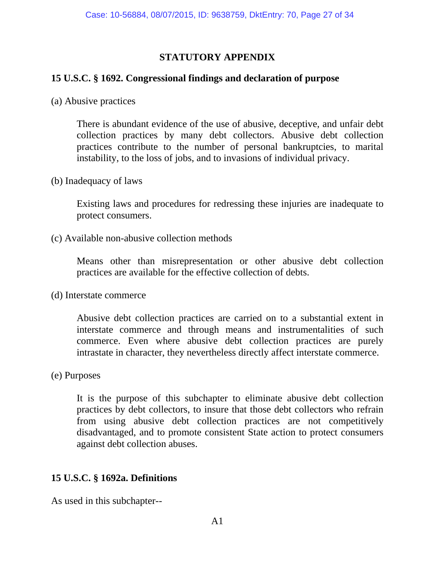# **STATUTORY APPENDIX**

## **15 U.S.C. § 1692. Congressional findings and declaration of purpose**

(a) Abusive practices

There is abundant evidence of the use of abusive, deceptive, and unfair debt collection practices by many debt collectors. Abusive debt collection practices contribute to the number of personal bankruptcies, to marital instability, to the loss of jobs, and to invasions of individual privacy.

(b) Inadequacy of laws

Existing laws and procedures for redressing these injuries are inadequate to protect consumers.

(c) Available non-abusive collection methods

Means other than misrepresentation or other abusive debt collection practices are available for the effective collection of debts.

(d) Interstate commerce

Abusive debt collection practices are carried on to a substantial extent in interstate commerce and through means and instrumentalities of such commerce. Even where abusive debt collection practices are purely intrastate in character, they nevertheless directly affect interstate commerce.

(e) Purposes

It is the purpose of this subchapter to eliminate abusive debt collection practices by debt collectors, to insure that those debt collectors who refrain from using abusive debt collection practices are not competitively disadvantaged, and to promote consistent State action to protect consumers against debt collection abuses.

## **15 U.S.C. § 1692a. Definitions**

As used in this subchapter--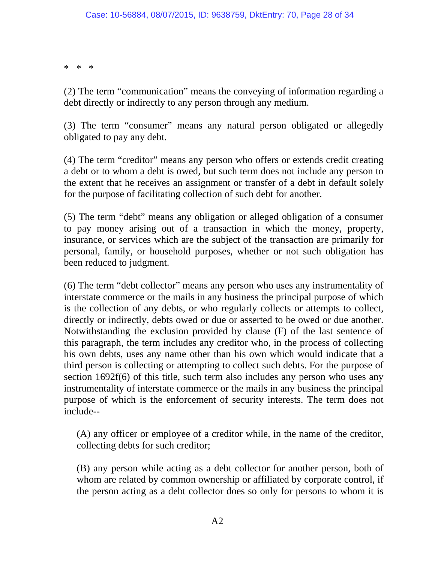\* \* \*

(2) The term "communication" means the conveying of information regarding a debt directly or indirectly to any person through any medium.

(3) The term "consumer" means any natural person obligated or allegedly obligated to pay any debt.

(4) The term "creditor" means any person who offers or extends credit creating a debt or to whom a debt is owed, but such term does not include any person to the extent that he receives an assignment or transfer of a debt in default solely for the purpose of facilitating collection of such debt for another.

(5) The term "debt" means any obligation or alleged obligation of a consumer to pay money arising out of a transaction in which the money, property, insurance, or services which are the subject of the transaction are primarily for personal, family, or household purposes, whether or not such obligation has been reduced to judgment.

(6) The term "debt collector" means any person who uses any instrumentality of interstate commerce or the mails in any business the principal purpose of which is the collection of any debts, or who regularly collects or attempts to collect, directly or indirectly, debts owed or due or asserted to be owed or due another. Notwithstanding the exclusion provided by clause (F) of the last sentence of this paragraph, the term includes any creditor who, in the process of collecting his own debts, uses any name other than his own which would indicate that a third person is collecting or attempting to collect such debts. For the purpose of section 1692f(6) of this title, such term also includes any person who uses any instrumentality of interstate commerce or the mails in any business the principal purpose of which is the enforcement of security interests. The term does not include--

(A) any officer or employee of a creditor while, in the name of the creditor, collecting debts for such creditor;

(B) any person while acting as a debt collector for another person, both of whom are related by common ownership or affiliated by corporate control, if the person acting as a debt collector does so only for persons to whom it is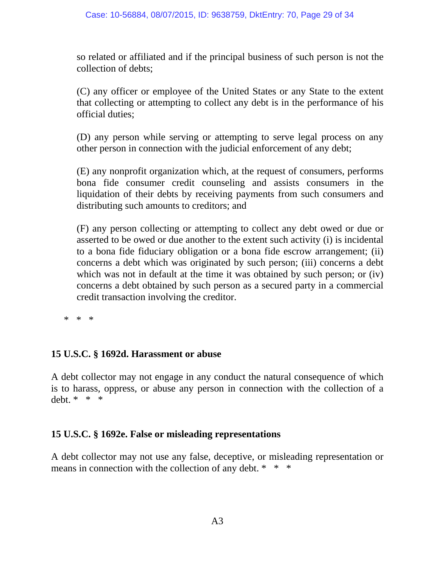so related or affiliated and if the principal business of such person is not the collection of debts;

(C) any officer or employee of the United States or any State to the extent that collecting or attempting to collect any debt is in the performance of his official duties;

(D) any person while serving or attempting to serve legal process on any other person in connection with the judicial enforcement of any debt;

(E) any nonprofit organization which, at the request of consumers, performs bona fide consumer credit counseling and assists consumers in the liquidation of their debts by receiving payments from such consumers and distributing such amounts to creditors; and

(F) any person collecting or attempting to collect any debt owed or due or asserted to be owed or due another to the extent such activity (i) is incidental to a bona fide fiduciary obligation or a bona fide escrow arrangement; (ii) concerns a debt which was originated by such person; (iii) concerns a debt which was not in default at the time it was obtained by such person; or (iv) concerns a debt obtained by such person as a secured party in a commercial credit transaction involving the creditor.

\* \* \*

## **15 U.S.C. § 1692d. Harassment or abuse**

A debt collector may not engage in any conduct the natural consequence of which is to harass, oppress, or abuse any person in connection with the collection of a debt  $* * * *$ 

## **15 U.S.C. § 1692e. False or misleading representations**

A debt collector may not use any false, deceptive, or misleading representation or means in connection with the collection of any debt. \* \* \*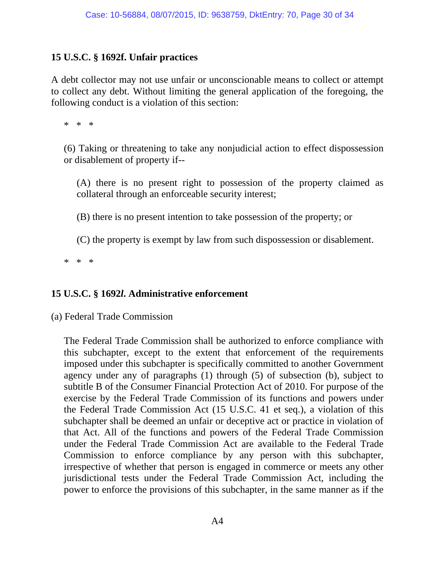# **15 U.S.C. § 1692f. Unfair practices**

A debt collector may not use unfair or unconscionable means to collect or attempt to collect any debt. Without limiting the general application of the foregoing, the following conduct is a violation of this section:

\* \* \*

(6) Taking or threatening to take any nonjudicial action to effect dispossession or disablement of property if--

(A) there is no present right to possession of the property claimed as collateral through an enforceable security interest;

(B) there is no present intention to take possession of the property; or

(C) the property is exempt by law from such dispossession or disablement.

\* \* \*

# **15 U.S.C. § 1692***l***. Administrative enforcement**

(a) Federal Trade Commission

The Federal Trade Commission shall be authorized to enforce compliance with this subchapter, except to the extent that enforcement of the requirements imposed under this subchapter is specifically committed to another Government agency under any of paragraphs (1) through (5) of subsection (b), subject to subtitle B of the Consumer Financial Protection Act of 2010. For purpose of the exercise by the Federal Trade Commission of its functions and powers under the Federal Trade Commission Act (15 U.S.C. 41 et seq.), a violation of this subchapter shall be deemed an unfair or deceptive act or practice in violation of that Act. All of the functions and powers of the Federal Trade Commission under the Federal Trade Commission Act are available to the Federal Trade Commission to enforce compliance by any person with this subchapter, irrespective of whether that person is engaged in commerce or meets any other jurisdictional tests under the Federal Trade Commission Act, including the power to enforce the provisions of this subchapter, in the same manner as if the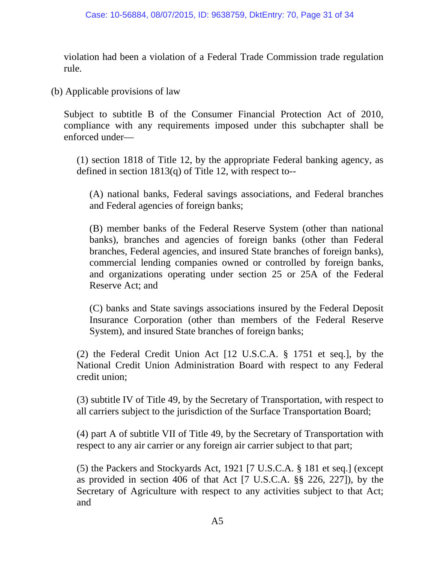violation had been a violation of a Federal Trade Commission trade regulation rule.

(b) Applicable provisions of law

Subject to subtitle B of the Consumer Financial Protection Act of 2010, compliance with any requirements imposed under this subchapter shall be enforced under—

(1) section 1818 of Title 12, by the appropriate Federal banking agency, as defined in section 1813(q) of Title 12, with respect to--

(A) national banks, Federal savings associations, and Federal branches and Federal agencies of foreign banks;

(B) member banks of the Federal Reserve System (other than national banks), branches and agencies of foreign banks (other than Federal branches, Federal agencies, and insured State branches of foreign banks), commercial lending companies owned or controlled by foreign banks, and organizations operating under section 25 or 25A of the Federal Reserve Act; and

(C) banks and State savings associations insured by the Federal Deposit Insurance Corporation (other than members of the Federal Reserve System), and insured State branches of foreign banks;

(2) the Federal Credit Union Act [12 U.S.C.A. § 1751 et seq.], by the National Credit Union Administration Board with respect to any Federal credit union;

(3) subtitle IV of Title 49, by the Secretary of Transportation, with respect to all carriers subject to the jurisdiction of the Surface Transportation Board;

(4) part A of subtitle VII of Title 49, by the Secretary of Transportation with respect to any air carrier or any foreign air carrier subject to that part;

(5) the Packers and Stockyards Act, 1921 [7 U.S.C.A. § 181 et seq.] (except as provided in section 406 of that Act [7 U.S.C.A. §§ 226, 227]), by the Secretary of Agriculture with respect to any activities subject to that Act; and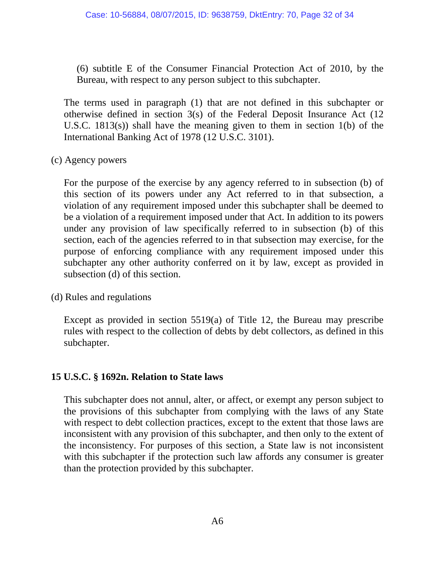(6) subtitle E of the Consumer Financial Protection Act of 2010, by the Bureau, with respect to any person subject to this subchapter.

The terms used in paragraph (1) that are not defined in this subchapter or otherwise defined in section 3(s) of the Federal Deposit Insurance Act (12 U.S.C. 1813(s)) shall have the meaning given to them in section 1(b) of the International Banking Act of 1978 (12 U.S.C. 3101).

(c) Agency powers

For the purpose of the exercise by any agency referred to in subsection (b) of this section of its powers under any Act referred to in that subsection, a violation of any requirement imposed under this subchapter shall be deemed to be a violation of a requirement imposed under that Act. In addition to its powers under any provision of law specifically referred to in subsection (b) of this section, each of the agencies referred to in that subsection may exercise, for the purpose of enforcing compliance with any requirement imposed under this subchapter any other authority conferred on it by law, except as provided in subsection (d) of this section.

(d) Rules and regulations

Except as provided in section 5519(a) of Title 12, the Bureau may prescribe rules with respect to the collection of debts by debt collectors, as defined in this subchapter.

## **15 U.S.C. § 1692n. Relation to State laws**

This subchapter does not annul, alter, or affect, or exempt any person subject to the provisions of this subchapter from complying with the laws of any State with respect to debt collection practices, except to the extent that those laws are inconsistent with any provision of this subchapter, and then only to the extent of the inconsistency. For purposes of this section, a State law is not inconsistent with this subchapter if the protection such law affords any consumer is greater than the protection provided by this subchapter.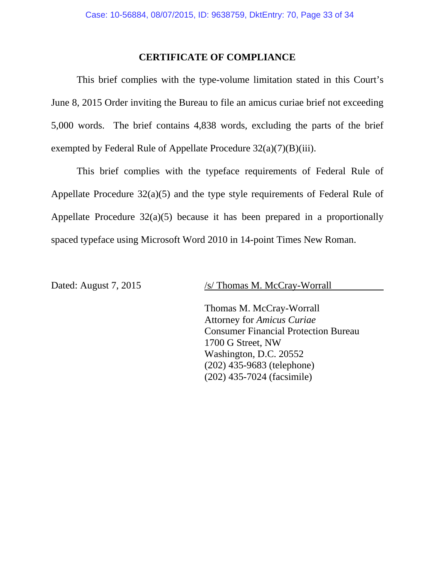### **CERTIFICATE OF COMPLIANCE**

This brief complies with the type-volume limitation stated in this Court's June 8, 2015 Order inviting the Bureau to file an amicus curiae brief not exceeding 5,000 words. The brief contains 4,838 words, excluding the parts of the brief exempted by Federal Rule of Appellate Procedure 32(a)(7)(B)(iii).

This brief complies with the typeface requirements of Federal Rule of Appellate Procedure 32(a)(5) and the type style requirements of Federal Rule of Appellate Procedure 32(a)(5) because it has been prepared in a proportionally spaced typeface using Microsoft Word 2010 in 14-point Times New Roman.

Dated: August 7, 2015 /s/ Thomas M. McCray-Worrall

Thomas M. McCray-Worrall Attorney for *Amicus Curiae* Consumer Financial Protection Bureau 1700 G Street, NW Washington, D.C. 20552 (202) 435-9683 (telephone) (202) 435-7024 (facsimile)